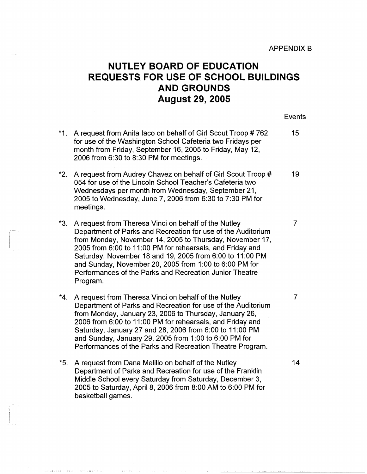## **NUTLEY BOARD OF EDUCATION REQUESTS FOR USE OF SCHOOL BUILDINGS AND GROUNDS August 29, 2005**

Events

\*1. A request from Anita laco on behalf of Girl Scout Troop # 762 15 **\*2.**  A request from Audrey Chavez on behalf of Girl Scout Troop # 19 \*3. A request from Theresa Vinci on behalf of the Nutley **7** \*4. A request from Theresa Vinci on behalf of the Nutley **7** \*5. A request from Dana Melillo on behalf of the Nutley 14 for use of the Washington School Cafeteria two Fridays per month from Friday, September 16, 2005 to Friday, May 12, 2006 from 6:30 to 8:30 PM for meetings. 054 for use of the Lincoln School Teacher's Cafeteria two Wednesdays per month from Wednesday, September 21, 2005 to Wednesday, June 7, 2006 from 6:30 to 7:30 PM for meetings. Department of Parks and Recreation for use of the Auditorium from Monday, November 14, 2005 to Thursday, November 17, 2005 from 6:00 to 11 :00 PM for rehearsals, and Friday and Saturday, November 18 and 19, 2005 from 6:00 to 11 :00 PM and Sunday, November 20, 2005 from 1:00 to 6:00 PM for Performances of the Parks and Recreation Junior Theatre Program. Department of Parks and Recreation for use of the Auditorium from Monday, January 23, 2006 to Thursday, January 26, 2006 from 6:00 to 11 :00 PM for rehearsals, and Friday and Saturday, January 27 and 28, 2006 from 6:00 to 11 :00 PM and Sunday, January 29, 2005 from 1 :00 to 6:00 PM for Performances of the Parks and Recreation Theatre Program. Department of Parks and Recreation for use of the Franklin Middle School every Saturday from Saturday, December 3, 2005 to Saturday, April 8, 2006 from 8:00 AM to 6:00 PM for basketball games.

I il\_l l,'J II.I \_,J! . ..IL\_; \_\_ ,. I \_ .. ,\_J \_\_ -1,\_,.... \_\_ ,; \_., 1.\_,, \_\_\_\_ .,LJ L.

i  $\vert$ I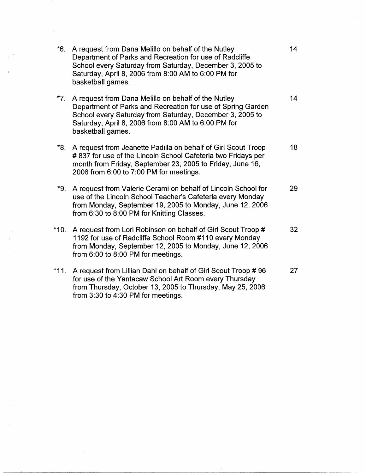| *6.    | A request from Dana Melillo on behalf of the Nutley<br>Department of Parks and Recreation for use of Radcliffe<br>School every Saturday from Saturday, December 3, 2005 to<br>Saturday, April 8, 2006 from 8:00 AM to 6:00 PM for<br>basketball games.     | 14 |
|--------|------------------------------------------------------------------------------------------------------------------------------------------------------------------------------------------------------------------------------------------------------------|----|
| *7.    | A request from Dana Melillo on behalf of the Nutley<br>Department of Parks and Recreation for use of Spring Garden<br>School every Saturday from Saturday, December 3, 2005 to<br>Saturday, April 8, 2006 from 8:00 AM to 6:00 PM for<br>basketball games. | 14 |
|        | *8. A request from Jeanette Padilla on behalf of Girl Scout Troop<br>#837 for use of the Lincoln School Cafeteria two Fridays per<br>month from Friday, September 23, 2005 to Friday, June 16,<br>2006 from 6:00 to 7:00 PM for meetings.                  | 18 |
|        | *9. A request from Valerie Cerami on behalf of Lincoln School for<br>use of the Lincoln School Teacher's Cafeteria every Monday<br>from Monday, September 19, 2005 to Monday, June 12, 2006<br>from 6:30 to 8:00 PM for Knitting Classes.                  | 29 |
|        | *10. A request from Lori Robinson on behalf of Girl Scout Troop #<br>1192 for use of Radcliffe School Room #110 every Monday<br>from Monday, September 12, 2005 to Monday, June 12, 2006<br>from 6:00 to 8:00 PM for meetings.                             | 32 |
| $*11.$ | A request from Lillian Dahl on behalf of Girl Scout Troop #96<br>for use of the Yantacaw School Art Room every Thursday<br>from Thursday, October 13, 2005 to Thursday, May 25, 2006<br>from 3:30 to 4:30 PM for meetings.                                 | 27 |

 $\label{eq:2} \mathcal{A} = \mathcal{A} \otimes \mathcal{A}$ 

 $\mathcal{L}_{\text{max}}$ 

 $\label{eq:2.1} \mathcal{L}=\frac{1}{\sqrt{2}}\sum_{i=1}^{n} \frac{1}{\sqrt{2}}\left(\frac{1}{\sqrt{2}}\right)^{n} \mathcal{L}^{(n)}(\mathcal{L}^{(n)}(\mathcal{L}^{(n)}))$ 

 $\label{eq:2.1} \frac{1}{\sqrt{2\pi}}\int_{\mathbb{R}^3}\frac{1}{\sqrt{2\pi}}\left(\frac{1}{\sqrt{2\pi}}\right)^2\frac{1}{\sqrt{2\pi}}\int_{\mathbb{R}^3}\frac{1}{\sqrt{2\pi}}\left(\frac{1}{\sqrt{2\pi}}\right)^2\frac{1}{\sqrt{2\pi}}\frac{1}{\sqrt{2\pi}}\frac{1}{\sqrt{2\pi}}\frac{1}{\sqrt{2\pi}}\frac{1}{\sqrt{2\pi}}\frac{1}{\sqrt{2\pi}}\frac{1}{\sqrt{2\pi}}\frac{1}{\sqrt{2\pi}}\frac{1}{\sqrt{2$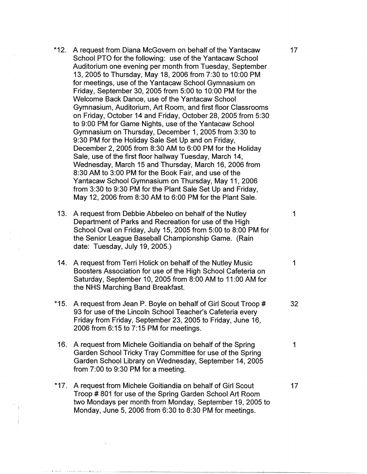- \*12. A request from Diana McGovern on behalf of the Yantacaw 17 School PTO for the following: use of the Yantacaw School Auditorium one evening per month from Tuesday, September 13, 2005 to Thursday, May 18, 2006 from 7:30 to 10:00 PM for meetings, use of the Yantacaw School Gymnasium on Friday, September 30, 2005 from 5:00 to 10:00 PM for the Welcome Back Dance, use of the Yantacaw School Gymnasium, Auditorium, Art Room, and first floor Classrooms on Friday, October 14 and Friday, October 28, 2005 from 5:30 to 9:00 PM for Game Nights, use of the Yantacaw School Gymnasium on Thursday, December 1, 2005 from 3:30 to 9:30 PM for the Holiday Sale Set Up and on Friday, December 2, 2005 from 8:30 AM to 6:00 PM for the Holiday Sale, use of the first floor hallway Tuesday, March 14, Wednesday, March 15 and Thursday, March 16, 2006 from 8:30 AM to 3:00 PM for the Book Fair, and use of the Yantacaw School Gymnasium on Thursday, May 11, 2006 from 3:30 to 9:30 PM for the Plant Sale Set Up and Friday, May 12, 2006 from 8:30 AM to 6:00 PM for the Plant Sale.
- 13. A request from Debbie Abbeleo on behalf of the Nutley 1 Department of Parks and Recreation for use of the High School Oval on Friday, July 15, 2005 from 5:00 to 8:00 PM for the Senior League Baseball Championship Game. (Rain date: Tuesday, July 19, 2005.)
- **14.** A request from Terri Holick on behalf of the Nutley Music 1 Boosters Association for use of the High School Cafeteria on Saturday, September 10, 2005 from 8:00 AM to 11 :00 AM for the NHS Marching Band Breakfast.
- \*15. A request from Jean P. Boyle on behalf of Girl Scout Troop # 32 93 for use of the Lincoln School Teacher's Cafeteria every Friday from Friday, September 23, 2005 to Friday, June 16, 2006 from 6: 15 to 7: 15 PM for meetings.
- 16. A request from Michele Goitiandia on behalf of the Spring 1 Garden School Tricky Tray Committee for use of the Spring Garden School Library on Wednesday, September 14, 2005 from 7:00 to 9:30 PM for a meeting.
- \*17. A request from Michele Goitiandia on behalf of Girl Scout 17 Troop # 801 for use of the Spring Garden School Art Room two Mondays per month from Monday, September 19, 2005 to Monday, June 5, 2006 from 6:30 to 8:30 PM for meetings.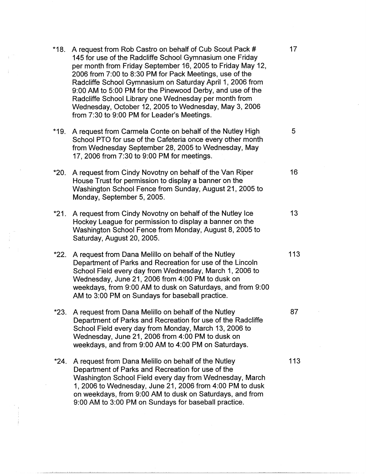|      | *18. A request from Rob Castro on behalf of Cub Scout Pack #<br>145 for use of the Radcliffe School Gymnasium one Friday<br>per month from Friday September 16, 2005 to Friday May 12,<br>2006 from 7:00 to 8:30 PM for Pack Meetings, use of the<br>Radcliffe School Gymnasium on Saturday April 1, 2006 from<br>9:00 AM to 5:00 PM for the Pinewood Derby, and use of the<br>Radcliffe School Library one Wednesday per month from<br>Wednesday, October 12, 2005 to Wednesday, May 3, 2006<br>from 7:30 to 9:00 PM for Leader's Meetings. | 17  |
|------|----------------------------------------------------------------------------------------------------------------------------------------------------------------------------------------------------------------------------------------------------------------------------------------------------------------------------------------------------------------------------------------------------------------------------------------------------------------------------------------------------------------------------------------------|-----|
|      | *19. A request from Carmela Conte on behalf of the Nutley High<br>School PTO for use of the Cafeteria once every other month<br>from Wednesday September 28, 2005 to Wednesday, May<br>17, 2006 from 7:30 to 9:00 PM for meetings.                                                                                                                                                                                                                                                                                                           | 5   |
| *20. | A request from Cindy Novotny on behalf of the Van Riper<br>House Trust for permission to display a banner on the<br>Washington School Fence from Sunday, August 21, 2005 to<br>Monday, September 5, 2005.                                                                                                                                                                                                                                                                                                                                    | 16  |
| *21. | A request from Cindy Novotny on behalf of the Nutley Ice<br>Hockey League for permission to display a banner on the<br>Washington School Fence from Monday, August 8, 2005 to<br>Saturday, August 20, 2005.                                                                                                                                                                                                                                                                                                                                  | 13  |
|      | *22. A request from Dana Melillo on behalf of the Nutley<br>Department of Parks and Recreation for use of the Lincoln<br>School Field every day from Wednesday, March 1, 2006 to<br>Wednesday, June 21, 2006 from 4:00 PM to dusk on<br>weekdays, from 9:00 AM to dusk on Saturdays, and from 9:00<br>AM to 3:00 PM on Sundays for baseball practice.                                                                                                                                                                                        | 113 |
|      | *23. A request from Dana Melillo on behalf of the Nutley<br>Department of Parks and Recreation for use of the Radcliffe<br>School Field every day from Monday, March 13, 2006 to<br>Wednesday, June 21, 2006 from 4:00 PM to dusk on<br>weekdays, and from 9:00 AM to 4:00 PM on Saturdays.                                                                                                                                                                                                                                                  | 87  |
| *24. | A request from Dana Melillo on behalf of the Nutley<br>Department of Parks and Recreation for use of the<br>Washington School Field every day from Wednesday, March<br>1, 2006 to Wednesday, June 21, 2006 from 4:00 PM to dusk<br>on weekdays, from 9:00 AM to dusk on Saturdays, and from<br>9:00 AM to 3:00 PM on Sundays for baseball practice.                                                                                                                                                                                          | 113 |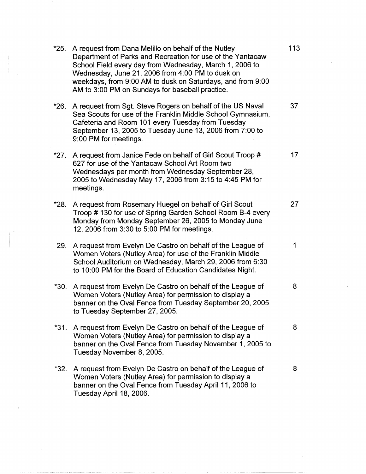| $*25.$ | A request from Dana Melillo on behalf of the Nutley<br>Department of Parks and Recreation for use of the Yantacaw<br>School Field every day from Wednesday, March 1, 2006 to<br>Wednesday, June 21, 2006 from 4:00 PM to dusk on<br>weekdays, from 9:00 AM to dusk on Saturdays, and from 9:00<br>AM to 3:00 PM on Sundays for baseball practice. | 113 |
|--------|---------------------------------------------------------------------------------------------------------------------------------------------------------------------------------------------------------------------------------------------------------------------------------------------------------------------------------------------------|-----|
| $*26.$ | A request from Sgt. Steve Rogers on behalf of the US Naval<br>Sea Scouts for use of the Franklin Middle School Gymnasium,<br>Cafeteria and Room 101 every Tuesday from Tuesday<br>September 13, 2005 to Tuesday June 13, 2006 from 7:00 to<br>9:00 PM for meetings.                                                                               | 37  |
| *27.   | A request from Janice Fede on behalf of Girl Scout Troop #<br>627 for use of the Yantacaw School Art Room two<br>Wednesdays per month from Wednesday September 28,<br>2005 to Wednesday May 17, 2006 from 3:15 to 4:45 PM for<br>meetings.                                                                                                        | 17  |
| *28.   | A request from Rosemary Huegel on behalf of Girl Scout<br>Troop #130 for use of Spring Garden School Room B-4 every<br>Monday from Monday September 26, 2005 to Monday June<br>12, 2006 from 3:30 to 5:00 PM for meetings.                                                                                                                        | 27  |
| 29.    | A request from Evelyn De Castro on behalf of the League of<br>Women Voters (Nutley Area) for use of the Franklin Middle<br>School Auditorium on Wednesday, March 29, 2006 from 6:30<br>to 10:00 PM for the Board of Education Candidates Night.                                                                                                   | 1   |
| $*30.$ | A request from Evelyn De Castro on behalf of the League of<br>Women Voters (Nutley Area) for permission to display a<br>banner on the Oval Fence from Tuesday September 20, 2005<br>to Tuesday September 27, 2005.                                                                                                                                | 8   |
| $*31.$ | A request from Evelyn De Castro on behalf of the League of<br>Women Voters (Nutley Area) for permission to display a<br>banner on the Oval Fence from Tuesday November 1, 2005 to<br>Tuesday November 8, 2005.                                                                                                                                    | 8   |
| *32.   | A request from Evelyn De Castro on behalf of the League of<br>Women Voters (Nutley Area) for permission to display a<br>banner on the Oval Fence from Tuesday April 11, 2006 to<br>Tuesday April 18, 2006.                                                                                                                                        | 8   |

 $\mathcal{L}_{\text{max}}$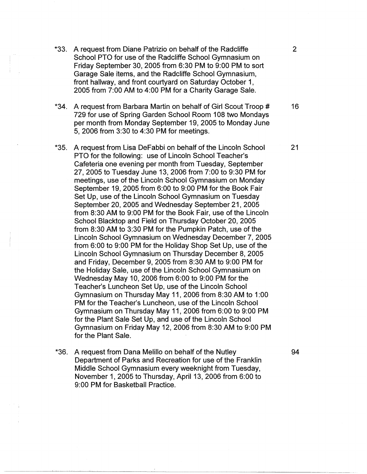- \*33. A request from Diane Patrizio on behalf of the Radcliffe 2 School PTO for use of the Radcliffe School Gymnasium on Friday September 30, 2005 from 6:30 PM to 9:00 PM to sort Garage Sale items, and the Radcliffe School Gymnasium, front hallway, and front courtyard on Saturday October 1, 2005 from 7:00 AM to 4:00 PM for a Charity Garage Sale.
- **\*34.** A request from Barbara Martin on behalf of Girl Scout Troop # 16 729 for use of Spring Garden School Room 108 two Mondays per month from Monday September 19, 2005 to Monday June 5, 2006 from 3:30 to 4:30 PM for meetings.
- \*35. A request from Lisa DeFabbi on behalf of the Lincoln School 21 PTO for the following: use of Lincoln School Teacher's Cafeteria one evening per month from Tuesday, September 27, 2005 to Tuesday June 13, 2006 from 7:00 to 9:30 PM for meetings, use of the Lincoln School Gymnasium on Monday September 19, 2005 from 6:00 to 9:00 PM for the Book Fair Set Up, use of the Lincoln School Gymnasium on Tuesday September 20, 2005 and Wednesday September 21, 2005 from 8:30 AM to 9:00 PM for the Book Fair, use of the Lincoln School Blacktop and Field on Thursday October 20, 2005 from 8:30 AM to 3:30 PM for the Pumpkin Patch, use of the Lincoln School Gymnasium on Wednesday December 7, 2005 from 6:00 to 9:00 PM for the Holiday Shop Set Up, use of the Lincoln School Gymnasium on Thursday December 8, 2005 and Friday, December 9, 2005 from 8:30 AM to 9:00 PM for the Holiday Sale, use of the Lincoln School Gymnasium on Wednesday May 10, 2006 from 6:00 to 9:00 PM for the Teacher's Luncheon Set Up, use of the Lincoln School Gymnasium on Thursday May 11, 2006 from 8:30 AM to 1 :00 PM for the Teacher's Luncheon, use of the Lincoln School Gymnasium on Thursday May 11, 2006 from 6:00 to 9:00 PM for the Plant Sale Set Up, and use of the Lincoln School Gymnasium on Friday May 12, 2006 from 8:30 AM to 9:00 PM for the Plant Sale.
- \*36. A request from Dana Melillo on behalf of the Nutley 94 Department of Parks and Recreation for use of the Franklin Middle School Gymnasium every weeknight from Tuesday, November 1, 2005 to Thursday, April 13, 2006 from 6:00 to 9:00 PM for Basketball Practice.